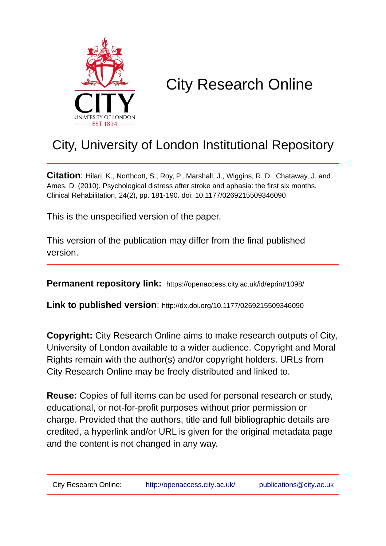

# City Research Online

## City, University of London Institutional Repository

**Citation**: Hilari, K., Northcott, S., Roy, P., Marshall, J., Wiggins, R. D., Chataway, J. and Ames, D. (2010). Psychological distress after stroke and aphasia: the first six months. Clinical Rehabilitation, 24(2), pp. 181-190. doi: 10.1177/0269215509346090

This is the unspecified version of the paper.

This version of the publication may differ from the final published version.

**Permanent repository link:** https://openaccess.city.ac.uk/id/eprint/1098/

**Link to published version**: http://dx.doi.org/10.1177/0269215509346090

**Copyright:** City Research Online aims to make research outputs of City, University of London available to a wider audience. Copyright and Moral Rights remain with the author(s) and/or copyright holders. URLs from City Research Online may be freely distributed and linked to.

**Reuse:** Copies of full items can be used for personal research or study, educational, or not-for-profit purposes without prior permission or charge. Provided that the authors, title and full bibliographic details are credited, a hyperlink and/or URL is given for the original metadata page and the content is not changed in any way.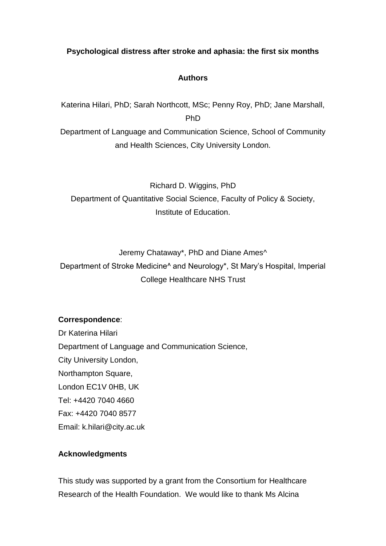## **Psychological distress after stroke and aphasia: the first six months**

## **Authors**

Katerina Hilari, PhD; Sarah Northcott, MSc; Penny Roy, PhD; Jane Marshall, PhD

Department of Language and Communication Science, School of Community and Health Sciences, City University London.

Richard D. Wiggins, PhD Department of Quantitative Social Science, Faculty of Policy & Society, Institute of Education.

Jeremy Chataway\*, PhD and Diane Ames^

Department of Stroke Medicine^ and Neurology\*, St Mary's Hospital, Imperial College Healthcare NHS Trust

## **Correspondence**:

Dr Katerina Hilari Department of Language and Communication Science, City University London, Northampton Square, London EC1V 0HB, UK Tel: +4420 7040 4660 Fax: +4420 7040 8577 Email: k.hilari@city.ac.uk

## **Acknowledgments**

This study was supported by a grant from the Consortium for Healthcare Research of the Health Foundation. We would like to thank Ms Alcina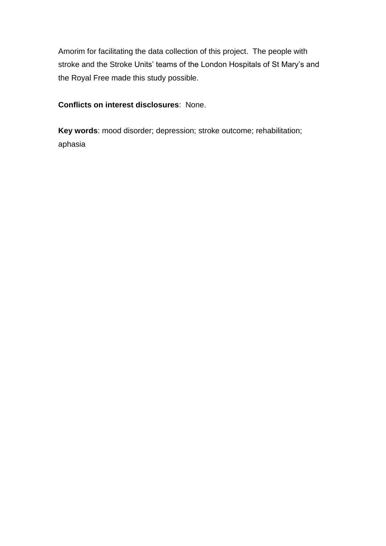Amorim for facilitating the data collection of this project. The people with stroke and the Stroke Units' teams of the London Hospitals of St Mary's and the Royal Free made this study possible.

**Conflicts on interest disclosures**: None.

**Key words**: mood disorder; depression; stroke outcome; rehabilitation; aphasia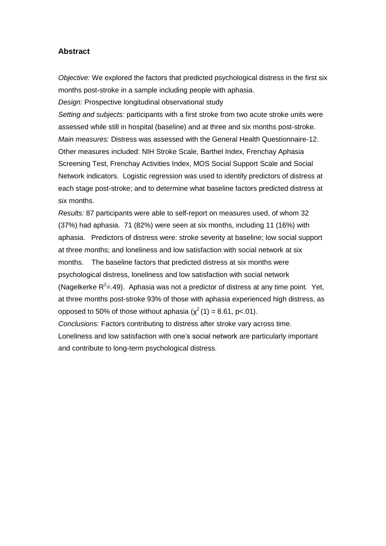#### **Abstract**

*Objective:* We explored the factors that predicted psychological distress in the first six months post-stroke in a sample including people with aphasia.

*Design:* Prospective longitudinal observational study

*Setting and subjects:* participants with a first stroke from two acute stroke units were assessed while still in hospital (baseline) and at three and six months post-stroke. *Main measures:* Distress was assessed with the General Health Questionnaire-12. Other measures included: NIH Stroke Scale, Barthel Index, Frenchay Aphasia Screening Test, Frenchay Activities Index, MOS Social Support Scale and Social Network indicators. Logistic regression was used to identify predictors of distress at each stage post-stroke; and to determine what baseline factors predicted distress at six months.

*Results:* 87 participants were able to self-report on measures used, of whom 32 (37%) had aphasia. 71 (82%) were seen at six months, including 11 (16%) with aphasia. Predictors of distress were: stroke severity at baseline; low social support at three months; and loneliness and low satisfaction with social network at six months. The baseline factors that predicted distress at six months were psychological distress, loneliness and low satisfaction with social network (Nagelkerke  $R^2 = .49$ ). Aphasia was not a predictor of distress at any time point. Yet, at three months post-stroke 93% of those with aphasia experienced high distress, as opposed to 50% of those without aphasia  $(\chi^2(1) = 8.61, p < 01)$ .

*Conclusions:* Factors contributing to distress after stroke vary across time. Loneliness and low satisfaction with one's social network are particularly important and contribute to long-term psychological distress.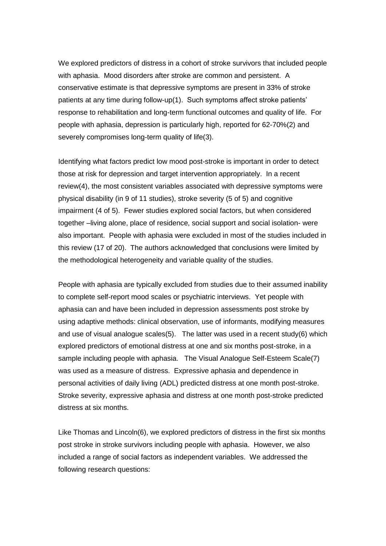We explored predictors of distress in a cohort of stroke survivors that included people with aphasia. Mood disorders after stroke are common and persistent. A conservative estimate is that depressive symptoms are present in 33% of stroke patients at any time during follow-up(1). Such symptoms affect stroke patients' response to rehabilitation and long-term functional outcomes and quality of life. For people with aphasia, depression is particularly high, reported for 62-70%(2) and severely compromises long-term quality of life(3).

Identifying what factors predict low mood post-stroke is important in order to detect those at risk for depression and target intervention appropriately. In a recent review(4), the most consistent variables associated with depressive symptoms were physical disability (in 9 of 11 studies), stroke severity (5 of 5) and cognitive impairment (4 of 5). Fewer studies explored social factors, but when considered together –living alone, place of residence, social support and social isolation- were also important. People with aphasia were excluded in most of the studies included in this review (17 of 20). The authors acknowledged that conclusions were limited by the methodological heterogeneity and variable quality of the studies.

People with aphasia are typically excluded from studies due to their assumed inability to complete self-report mood scales or psychiatric interviews. Yet people with aphasia can and have been included in depression assessments post stroke by using adaptive methods: clinical observation, use of informants, modifying measures and use of visual analogue scales(5). The latter was used in a recent study(6) which explored predictors of emotional distress at one and six months post-stroke, in a sample including people with aphasia. The Visual Analogue Self-Esteem Scale(7) was used as a measure of distress. Expressive aphasia and dependence in personal activities of daily living (ADL) predicted distress at one month post-stroke. Stroke severity, expressive aphasia and distress at one month post-stroke predicted distress at six months.

Like Thomas and Lincoln(6), we explored predictors of distress in the first six months post stroke in stroke survivors including people with aphasia. However, we also included a range of social factors as independent variables. We addressed the following research questions: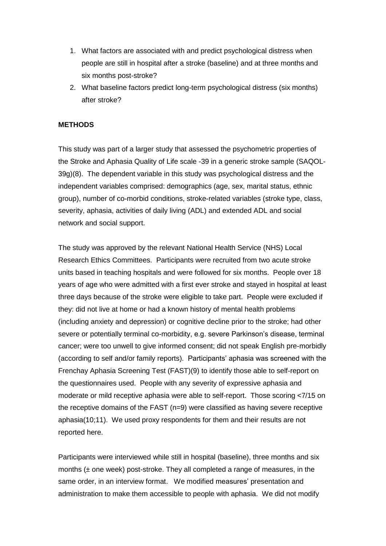- 1. What factors are associated with and predict psychological distress when people are still in hospital after a stroke (baseline) and at three months and six months post-stroke?
- 2. What baseline factors predict long-term psychological distress (six months) after stroke?

#### **METHODS**

This study was part of a larger study that assessed the psychometric properties of the Stroke and Aphasia Quality of Life scale -39 in a generic stroke sample (SAQOL-39g)(8). The dependent variable in this study was psychological distress and the independent variables comprised: demographics (age, sex, marital status, ethnic group), number of co-morbid conditions, stroke-related variables (stroke type, class, severity, aphasia, activities of daily living (ADL) and extended ADL and social network and social support.

The study was approved by the relevant National Health Service (NHS) Local Research Ethics Committees. Participants were recruited from two acute stroke units based in teaching hospitals and were followed for six months. People over 18 years of age who were admitted with a first ever stroke and stayed in hospital at least three days because of the stroke were eligible to take part. People were excluded if they: did not live at home or had a known history of mental health problems (including anxiety and depression) or cognitive decline prior to the stroke; had other severe or potentially terminal co-morbidity, e.g. severe Parkinson's disease, terminal cancer; were too unwell to give informed consent; did not speak English pre-morbidly (according to self and/or family reports). Participants' aphasia was screened with the Frenchay Aphasia Screening Test (FAST)(9) to identify those able to self-report on the questionnaires used. People with any severity of expressive aphasia and moderate or mild receptive aphasia were able to self-report. Those scoring <7/15 on the receptive domains of the FAST  $(n=9)$  were classified as having severe receptive aphasia(10;11). We used proxy respondents for them and their results are not reported here.

Participants were interviewed while still in hospital (baseline), three months and six months (± one week) post-stroke. They all completed a range of measures, in the same order, in an interview format. We modified measures' presentation and administration to make them accessible to people with aphasia. We did not modify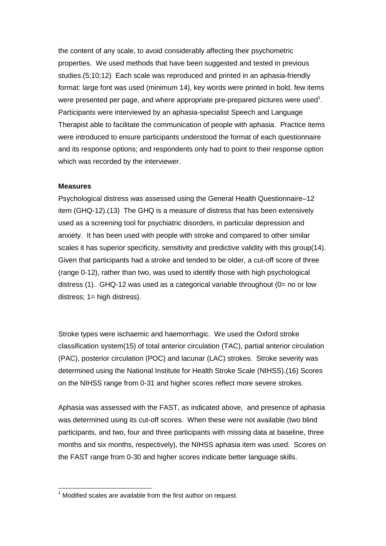the content of any scale, to avoid considerably affecting their psychometric properties. We used methods that have been suggested and tested in previous studies.(5;10;12) Each scale was reproduced and printed in an aphasia-friendly format: large font was used (minimum 14), key words were printed in bold, few items were presented per page, and where appropriate pre-prepared pictures were used<sup>1</sup>. Participants were interviewed by an aphasia-specialist Speech and Language Therapist able to facilitate the communication of people with aphasia. Practice items were introduced to ensure participants understood the format of each questionnaire and its response options; and respondents only had to point to their response option which was recorded by the interviewer.

#### **Measures**

 $\overline{a}$ 

Psychological distress was assessed using the General Health Questionnaire–12 item (GHQ-12).(13) The GHQ is a measure of distress that has been extensively used as a screening tool for psychiatric disorders, in particular depression and anxiety. It has been used with people with stroke and compared to other similar scales it has superior specificity, sensitivity and predictive validity with this group(14). Given that participants had a stroke and tended to be older, a cut-off score of three (range 0-12), rather than two, was used to identify those with high psychological distress (1). GHQ-12 was used as a categorical variable throughout (0= no or low distress; 1= high distress).

Stroke types were ischaemic and haemorrhagic. We used the Oxford stroke classification system(15) of total anterior circulation (TAC), partial anterior circulation (PAC), posterior circulation (POC) and lacunar (LAC) strokes. Stroke severity was determined using the National Institute for Health Stroke Scale (NIHSS).(16) Scores on the NIHSS range from 0-31 and higher scores reflect more severe strokes.

Aphasia was assessed with the FAST, as indicated above, and presence of aphasia was determined using its cut-off scores. When these were not available (two blind participants, and two, four and three participants with missing data at baseline, three months and six months, respectively), the NIHSS aphasia item was used. Scores on the FAST range from 0-30 and higher scores indicate better language skills.

 $1$  Modified scales are available from the first author on request.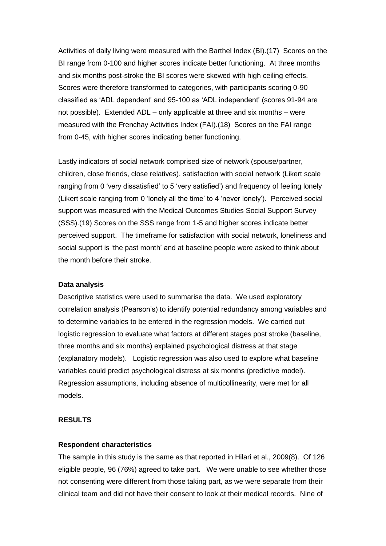Activities of daily living were measured with the Barthel Index (BI).(17) Scores on the BI range from 0-100 and higher scores indicate better functioning. At three months and six months post-stroke the BI scores were skewed with high ceiling effects. Scores were therefore transformed to categories, with participants scoring 0-90 classified as 'ADL dependent' and 95-100 as 'ADL independent' (scores 91-94 are not possible). Extended ADL – only applicable at three and six months – were measured with the Frenchay Activities Index (FAI).(18) Scores on the FAI range from 0-45, with higher scores indicating better functioning.

Lastly indicators of social network comprised size of network (spouse/partner, children, close friends, close relatives), satisfaction with social network (Likert scale ranging from 0 'very dissatisfied' to 5 'very satisfied') and frequency of feeling lonely (Likert scale ranging from 0 'lonely all the time' to 4 'never lonely'). Perceived social support was measured with the Medical Outcomes Studies Social Support Survey (SSS).(19) Scores on the SSS range from 1-5 and higher scores indicate better perceived support. The timeframe for satisfaction with social network, loneliness and social support is 'the past month' and at baseline people were asked to think about the month before their stroke.

#### **Data analysis**

Descriptive statistics were used to summarise the data. We used exploratory correlation analysis (Pearson's) to identify potential redundancy among variables and to determine variables to be entered in the regression models. We carried out logistic regression to evaluate what factors at different stages post stroke (baseline, three months and six months) explained psychological distress at that stage (explanatory models). Logistic regression was also used to explore what baseline variables could predict psychological distress at six months (predictive model). Regression assumptions, including absence of multicollinearity, were met for all models.

#### **RESULTS**

#### **Respondent characteristics**

The sample in this study is the same as that reported in Hilari et al., 2009(8). Of 126 eligible people, 96 (76%) agreed to take part. We were unable to see whether those not consenting were different from those taking part, as we were separate from their clinical team and did not have their consent to look at their medical records. Nine of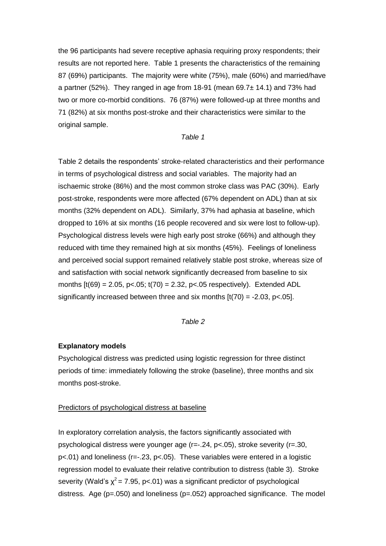the 96 participants had severe receptive aphasia requiring proxy respondents; their results are not reported here. Table 1 presents the characteristics of the remaining 87 (69%) participants. The majority were white (75%), male (60%) and married/have a partner (52%). They ranged in age from 18-91 (mean 69.7± 14.1) and 73% had two or more co-morbid conditions. 76 (87%) were followed-up at three months and 71 (82%) at six months post-stroke and their characteristics were similar to the original sample.

#### *Table 1*

Table 2 details the respondents' stroke-related characteristics and their performance in terms of psychological distress and social variables. The majority had an ischaemic stroke (86%) and the most common stroke class was PAC (30%). Early post-stroke, respondents were more affected (67% dependent on ADL) than at six months (32% dependent on ADL). Similarly, 37% had aphasia at baseline, which dropped to 16% at six months (16 people recovered and six were lost to follow-up). Psychological distress levels were high early post stroke (66%) and although they reduced with time they remained high at six months (45%). Feelings of loneliness and perceived social support remained relatively stable post stroke, whereas size of and satisfaction with social network significantly decreased from baseline to six months  $[t(69) = 2.05, p<.05; t(70) = 2.32, p<.05$  respectively). Extended ADL significantly increased between three and six months  $[t(70) = -2.03, p < 0.05]$ .

#### *Table 2*

#### **Explanatory models**

Psychological distress was predicted using logistic regression for three distinct periods of time: immediately following the stroke (baseline), three months and six months post-stroke.

#### Predictors of psychological distress at baseline

In exploratory correlation analysis, the factors significantly associated with psychological distress were younger age (r=-.24, p<.05), stroke severity (r=.30, p<.01) and loneliness (r=-.23, p<.05). These variables were entered in a logistic regression model to evaluate their relative contribution to distress (table 3). Stroke severity (Wald's  $\chi^2$  = 7.95, p<.01) was a significant predictor of psychological distress. Age ( $p=.050$ ) and loneliness ( $p=.052$ ) approached significance. The model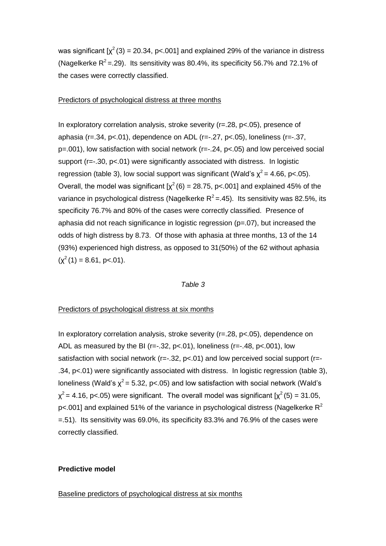was significant  $[x^2(3) = 20.34, p < .001]$  and explained 29% of the variance in distress (Nagelkerke  $R^2$  = .29). Its sensitivity was 80.4%, its specificity 56.7% and 72.1% of the cases were correctly classified.

#### Predictors of psychological distress at three months

In exploratory correlation analysis, stroke severity (r=.28, p<.05), presence of aphasia (r=.34, p<.01), dependence on ADL (r=-.27, p<.05), loneliness (r=-.37, p=.001), low satisfaction with social network (r=-.24, p<.05) and low perceived social support (r=-.30, p<.01) were significantly associated with distress. In logistic regression (table 3), low social support was significant (Wald's  $\chi^2$  = 4.66, p<.05). Overall, the model was significant  $[\chi^2(6) = 28.75, p < .001]$  and explained 45% of the variance in psychological distress (Nagelkerke  $R^2 = 0.45$ ). Its sensitivity was 82.5%, its specificity 76.7% and 80% of the cases were correctly classified. Presence of aphasia did not reach significance in logistic regression (p=.07), but increased the odds of high distress by 8.73. Of those with aphasia at three months, 13 of the 14 (93%) experienced high distress, as opposed to 31(50%) of the 62 without aphasia  $(\chi^2(1) = 8.61, \text{ p} < 0.01).$ 

#### *Table 3*

#### Predictors of psychological distress at six months

In exploratory correlation analysis, stroke severity (r=.28, p<.05), dependence on ADL as measured by the BI (r= $-0.32$ , p< $0.01$ ), loneliness (r= $-0.48$ , p< $0.001$ ), low satisfaction with social network  $(r=-.32, p<.01)$  and low perceived social support  $(r=-.01, p<.01)$ .34, p<.01) were significantly associated with distress. In logistic regression (table 3), loneliness (Wald's  $\chi^2$  = 5.32, p<.05) and low satisfaction with social network (Wald's  $\chi^2$  = 4.16, p<.05) were significant. The overall model was significant [ $\chi^2$  (5) = 31.05,  $p$ <.001] and explained 51% of the variance in psychological distress (Nagelkerke  $R^2$ =.51). Its sensitivity was 69.0%, its specificity 83.3% and 76.9% of the cases were correctly classified.

#### **Predictive model**

Baseline predictors of psychological distress at six months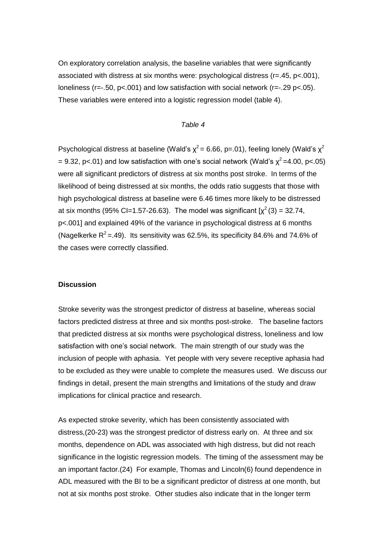On exploratory correlation analysis, the baseline variables that were significantly associated with distress at six months were: psychological distress (r=.45, p<.001), loneliness (r= $-0.50$ , p< $0.001$ ) and low satisfaction with social network (r= $-0.29$  p< $0.05$ ). These variables were entered into a logistic regression model (table 4).

#### *Table 4*

Psychological distress at baseline (Wald's  $x^2$  = 6.66, p=.01), feeling lonely (Wald's  $x^2$ = 9.32, p<.01) and low satisfaction with one's social network (Wald's  $\chi^2$  =4.00, p<.05) were all significant predictors of distress at six months post stroke. In terms of the likelihood of being distressed at six months, the odds ratio suggests that those with high psychological distress at baseline were 6.46 times more likely to be distressed at six months (95% Cl=1.57-26.63). The model was significant  $[\chi^2(3) = 32.74,$ p<.001] and explained 49% of the variance in psychological distress at 6 months (Nagelkerke  $R^2$  = 49). Its sensitivity was 62.5%, its specificity 84.6% and 74.6% of the cases were correctly classified.

#### **Discussion**

Stroke severity was the strongest predictor of distress at baseline, whereas social factors predicted distress at three and six months post-stroke. The baseline factors that predicted distress at six months were psychological distress, loneliness and low satisfaction with one's social network. The main strength of our study was the inclusion of people with aphasia. Yet people with very severe receptive aphasia had to be excluded as they were unable to complete the measures used. We discuss our findings in detail, present the main strengths and limitations of the study and draw implications for clinical practice and research.

As expected stroke severity, which has been consistently associated with distress,(20-23) was the strongest predictor of distress early on. At three and six months, dependence on ADL was associated with high distress, but did not reach significance in the logistic regression models. The timing of the assessment may be an important factor.(24) For example, Thomas and Lincoln(6) found dependence in ADL measured with the BI to be a significant predictor of distress at one month, but not at six months post stroke. Other studies also indicate that in the longer term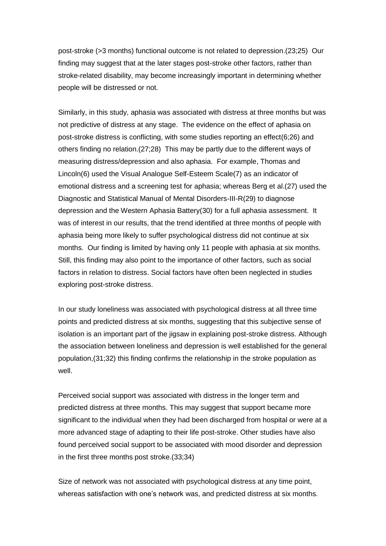post-stroke (>3 months) functional outcome is not related to depression.(23;25) Our finding may suggest that at the later stages post-stroke other factors, rather than stroke-related disability, may become increasingly important in determining whether people will be distressed or not.

Similarly, in this study, aphasia was associated with distress at three months but was not predictive of distress at any stage. The evidence on the effect of aphasia on post-stroke distress is conflicting, with some studies reporting an effect(6;26) and others finding no relation.(27;28) This may be partly due to the different ways of measuring distress/depression and also aphasia. For example, Thomas and Lincoln(6) used the Visual Analogue Self-Esteem Scale(7) as an indicator of emotional distress and a screening test for aphasia; whereas Berg et al.(27) used the Diagnostic and Statistical Manual of Mental Disorders-III-R(29) to diagnose depression and the Western Aphasia Battery(30) for a full aphasia assessment. It was of interest in our results, that the trend identified at three months of people with aphasia being more likely to suffer psychological distress did not continue at six months. Our finding is limited by having only 11 people with aphasia at six months. Still, this finding may also point to the importance of other factors, such as social factors in relation to distress. Social factors have often been neglected in studies exploring post-stroke distress.

In our study loneliness was associated with psychological distress at all three time points and predicted distress at six months, suggesting that this subjective sense of isolation is an important part of the jigsaw in explaining post-stroke distress. Although the association between loneliness and depression is well established for the general population,(31;32) this finding confirms the relationship in the stroke population as well.

Perceived social support was associated with distress in the longer term and predicted distress at three months. This may suggest that support became more significant to the individual when they had been discharged from hospital or were at a more advanced stage of adapting to their life post-stroke. Other studies have also found perceived social support to be associated with mood disorder and depression in the first three months post stroke.(33;34)

Size of network was not associated with psychological distress at any time point, whereas satisfaction with one's network was, and predicted distress at six months.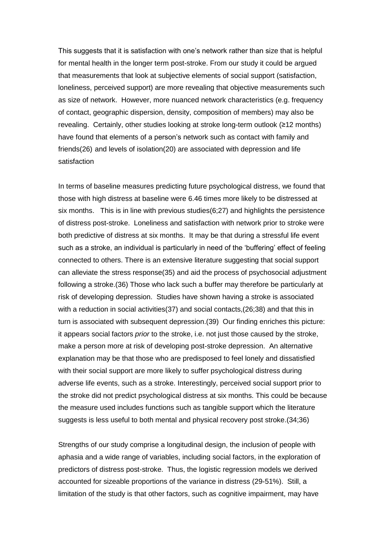This suggests that it is satisfaction with one's network rather than size that is helpful for mental health in the longer term post-stroke. From our study it could be argued that measurements that look at subjective elements of social support (satisfaction, loneliness, perceived support) are more revealing that objective measurements such as size of network. However, more nuanced network characteristics (e.g. frequency of contact, geographic dispersion, density, composition of members) may also be revealing. Certainly, other studies looking at stroke long-term outlook (≥12 months) have found that elements of a person's network such as contact with family and friends(26) and levels of isolation(20) are associated with depression and life satisfaction

In terms of baseline measures predicting future psychological distress, we found that those with high distress at baseline were 6.46 times more likely to be distressed at six months. This is in line with previous studies(6;27) and highlights the persistence of distress post-stroke. Loneliness and satisfaction with network prior to stroke were both predictive of distress at six months. It may be that during a stressful life event such as a stroke, an individual is particularly in need of the 'buffering' effect of feeling connected to others. There is an extensive literature suggesting that social support can alleviate the stress response(35) and aid the process of psychosocial adjustment following a stroke.(36) Those who lack such a buffer may therefore be particularly at risk of developing depression. Studies have shown having a stroke is associated with a reduction in social activities(37) and social contacts,(26;38) and that this in turn is associated with subsequent depression.(39) Our finding enriches this picture: it appears social factors *prior* to the stroke, i.e. not just those caused by the stroke, make a person more at risk of developing post-stroke depression. An alternative explanation may be that those who are predisposed to feel lonely and dissatisfied with their social support are more likely to suffer psychological distress during adverse life events, such as a stroke. Interestingly, perceived social support prior to the stroke did not predict psychological distress at six months. This could be because the measure used includes functions such as tangible support which the literature suggests is less useful to both mental and physical recovery post stroke.(34;36)

Strengths of our study comprise a longitudinal design, the inclusion of people with aphasia and a wide range of variables, including social factors, in the exploration of predictors of distress post-stroke. Thus, the logistic regression models we derived accounted for sizeable proportions of the variance in distress (29-51%). Still, a limitation of the study is that other factors, such as cognitive impairment, may have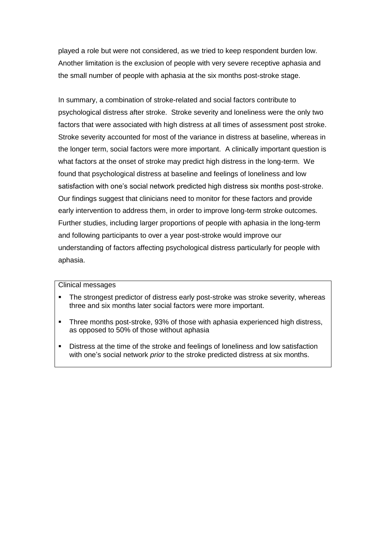played a role but were not considered, as we tried to keep respondent burden low. Another limitation is the exclusion of people with very severe receptive aphasia and the small number of people with aphasia at the six months post-stroke stage.

In summary, a combination of stroke-related and social factors contribute to psychological distress after stroke. Stroke severity and loneliness were the only two factors that were associated with high distress at all times of assessment post stroke. Stroke severity accounted for most of the variance in distress at baseline, whereas in the longer term, social factors were more important. A clinically important question is what factors at the onset of stroke may predict high distress in the long-term. We found that psychological distress at baseline and feelings of loneliness and low satisfaction with one's social network predicted high distress six months post-stroke. Our findings suggest that clinicians need to monitor for these factors and provide early intervention to address them, in order to improve long-term stroke outcomes. Further studies, including larger proportions of people with aphasia in the long-term and following participants to over a year post-stroke would improve our understanding of factors affecting psychological distress particularly for people with aphasia.

#### Clinical messages

- The strongest predictor of distress early post-stroke was stroke severity, whereas three and six months later social factors were more important.
- Three months post-stroke, 93% of those with aphasia experienced high distress, as opposed to 50% of those without aphasia
- Distress at the time of the stroke and feelings of loneliness and low satisfaction with one's social network *prior* to the stroke predicted distress at six months.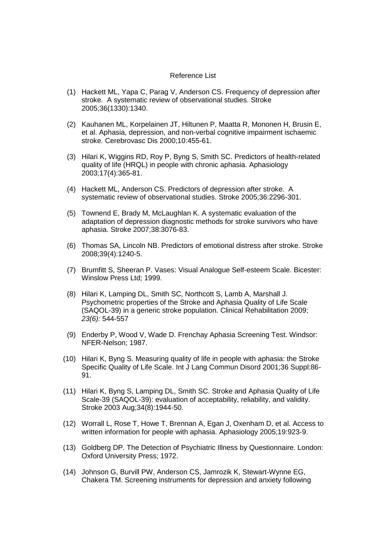#### Reference List

- (1) Hackett ML, Yapa C, Parag V, Anderson CS. Frequency of depression after stroke. A systematic review of observational studies. Stroke 2005;36(1330):1340.
- (2) Kauhanen ML, Korpelainen JT, Hiltunen P, Maatta R, Mononen H, Brusin E, et al. Aphasia, depression, and non-verbal cognitive impairment ischaemic stroke. Cerebrovasc Dis 2000;10:455-61.
- (3) Hilari K, Wiggins RD, Roy P, Byng S, Smith SC. Predictors of health-related quality of life (HRQL) in people with chronic aphasia. Aphasiology 2003;17(4):365-81.
- (4) Hackett ML, Anderson CS. Predictors of depression after stroke. A systematic review of observational studies. Stroke 2005;36:2296-301.
- (5) Townend E, Brady M, McLaughlan K. A systematic evaluation of the adaptation of depression diagnostic methods for stroke survivors who have aphasia. Stroke 2007;38:3076-83.
- (6) Thomas SA, Lincoln NB. Predictors of emotional distress after stroke. Stroke 2008;39(4):1240-5.
- (7) Brumfitt S, Sheeran P. Vases: Visual Analogue Self-esteem Scale. Bicester: Winslow Press Ltd; 1999.
- (8) Hilari K, Lamping DL, Smith SC, Northcott S, Lamb A, Marshall J. Psychometric properties of the Stroke and Aphasia Quality of Life Scale (SAQOL-39) in a generic stroke population. Clinical Rehabilitation 2009; *23(6):* 544-557
- (9) Enderby P, Wood V, Wade D. Frenchay Aphasia Screening Test. Windsor: NFER-Nelson; 1987.
- (10) Hilari K, Byng S. Measuring quality of life in people with aphasia: the Stroke Specific Quality of Life Scale. Int J Lang Commun Disord 2001;36 Suppl:86- 91.
- (11) Hilari K, Byng S, Lamping DL, Smith SC. Stroke and Aphasia Quality of Life Scale-39 (SAQOL-39): evaluation of acceptability, reliability, and validity. Stroke 2003 Aug;34(8):1944-50.
- (12) Worrall L, Rose T, Howe T, Brennan A, Egan J, Oxenham D, et al. Access to written information for people with aphasia. Aphasiology 2005;19:923-9.
- (13) Goldberg DP. The Detection of Psychiatric Illness by Questionnaire. London: Oxford University Press; 1972.
- (14) Johnson G, Burvill PW, Anderson CS, Jamrozik K, Stewart-Wynne EG, Chakera TM. Screening instruments for depression and anxiety following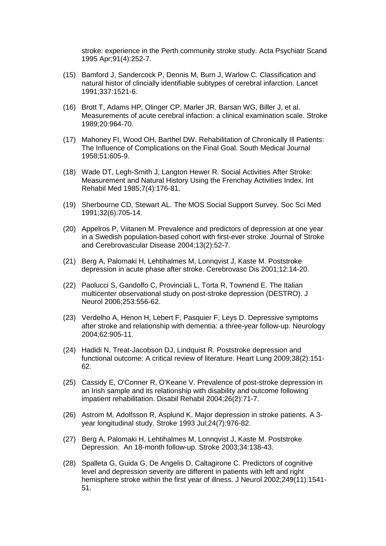stroke: experience in the Perth community stroke study. Acta Psychiatr Scand 1995 Apr;91(4):252-7.

- (15) Bamford J, Sandercock P, Dennis M, Burn J, Warlow C. Classification and natural histor of clincially identifiable subtypes of cerebral infarction. Lancet 1991;337:1521-6.
- (16) Brott T, Adams HP, Olinger CP, Marler JR, Barsan WG, Biller J, et al. Measurements of acute cerebral infaction: a clinical examination scale. Stroke 1989;20:964-70.
- (17) Mahoney FI, Wood OH, Barthel DW. Rehabilitation of Chronically Ill Patients: The Influence of Complications on the Final Goal. South Medical Journal 1958;51:605-9.
- (18) Wade DT, Legh-Smith J, Langton Hewer R. Social Activities After Stroke: Measurement and Natural History Using the Frenchay Activities Index. Int Rehabil Med 1985;7(4):176-81.
- (19) Sherbourne CD, Stewart AL. The MOS Social Support Survey. Soc Sci Med 1991;32(6):705-14.
- (20) Appelros P, Viitanen M. Prevalence and predictors of depression at one year in a Swedish population-based cohort with first-ever stroke. Journal of Stroke and Cerebrovascular Disease 2004;13(2):52-7.
- (21) Berg A, Palomaki H, Lehtihalmes M, Lonnqvist J, Kaste M. Poststroke depression in acute phase after stroke. Cerebrovasc Dis 2001;12:14-20.
- (22) Paolucci S, Gandolfo C, Provinciali L, Torta R, Townend E. The Italian multicenter observational study on post-stroke depression (DESTRO). J Neurol 2006;253:556-62.
- (23) Verdelho A, Henon H, Lebert F, Pasquier F, Leys D. Depressive symptoms after stroke and relationship with dementia: a three-year follow-up. Neurology 2004;62:905-11.
- (24) Hadidi N, Treat-Jacobson DJ, Lindquist R. Poststroke depression and functional outcome: A critical review of literature. Heart Lung 2009;38(2):151- 62.
- (25) Cassidy E, O'Conner R, O'Keane V. Prevalence of post-stroke depression in an Irish sample and its relationship with disability and outcome following impatient rehabilitation. Disabil Rehabil 2004;26(2):71-7.
- (26) Astrom M, Adolfsson R, Asplund K. Major depression in stroke patients. A 3 year longitudinal study. Stroke 1993 Jul;24(7):976-82.
- (27) Berg A, Palomaki H, Lehtihalmes M, Lonnqvist J, Kaste M. Poststroke Depression. An 18-month follow-up. Stroke 2003;34:138-43.
- (28) Spalleta G, Guida G, De Angelis D, Caltagirone C. Predictors of cognitive level and depression severity are different in patients with left and right hemisphere stroke within the first year of illness. J Neurol 2002;249(11):1541- 51.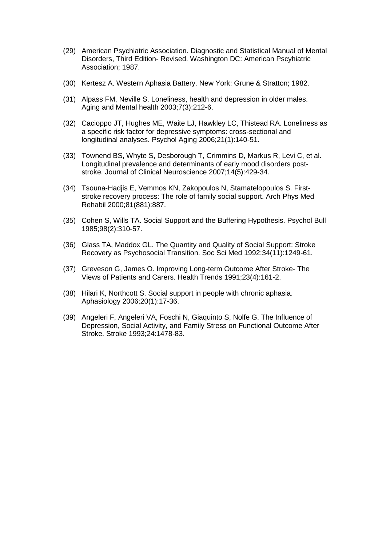- (29) American Psychiatric Association. Diagnostic and Statistical Manual of Mental Disorders, Third Edition- Revised. Washington DC: American Pscyhiatric Association; 1987.
- (30) Kertesz A. Western Aphasia Battery. New York: Grune & Stratton; 1982.
- (31) Alpass FM, Neville S. Loneliness, health and depression in older males. Aging and Mental health 2003;7(3):212-6.
- (32) Cacioppo JT, Hughes ME, Waite LJ, Hawkley LC, Thistead RA. Loneliness as a specific risk factor for depressive symptoms: cross-sectional and longitudinal analyses. Psychol Aging 2006;21(1):140-51.
- (33) Townend BS, Whyte S, Desborough T, Crimmins D, Markus R, Levi C, et al. Longitudinal prevalence and determinants of early mood disorders poststroke. Journal of Clinical Neuroscience 2007;14(5):429-34.
- (34) Tsouna-Hadjis E, Vemmos KN, Zakopoulos N, Stamatelopoulos S. Firststroke recovery process: The role of family social support. Arch Phys Med Rehabil 2000;81(881):887.
- (35) Cohen S, Wills TA. Social Support and the Buffering Hypothesis. Psychol Bull 1985;98(2):310-57.
- (36) Glass TA, Maddox GL. The Quantity and Quality of Social Support: Stroke Recovery as Psychosocial Transition. Soc Sci Med 1992;34(11):1249-61.
- (37) Greveson G, James O. Improving Long-term Outcome After Stroke- The Views of Patients and Carers. Health Trends 1991;23(4):161-2.
- (38) Hilari K, Northcott S. Social support in people with chronic aphasia. Aphasiology 2006;20(1):17-36.
- (39) Angeleri F, Angeleri VA, Foschi N, Giaquinto S, Nolfe G. The Influence of Depression, Social Activity, and Family Stress on Functional Outcome After Stroke. Stroke 1993;24:1478-83.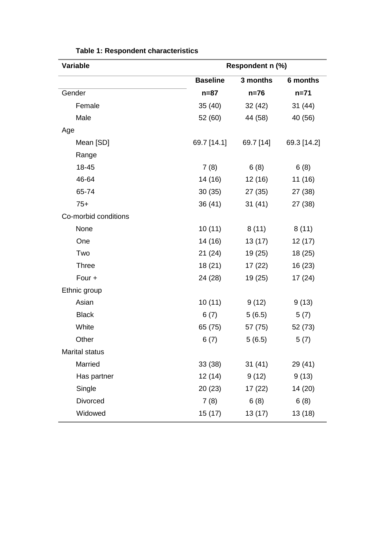| <b>Variable</b>       | Respondent n (%) |           |             |  |
|-----------------------|------------------|-----------|-------------|--|
|                       | <b>Baseline</b>  | 3 months  | 6 months    |  |
| Gender                | $n=87$           | $n=76$    | $n = 71$    |  |
| Female                | 35(40)           | 32(42)    | 31(44)      |  |
| Male                  | 52 (60)          | 44 (58)   | 40 (56)     |  |
| Age                   |                  |           |             |  |
| Mean [SD]             | 69.7 [14.1]      | 69.7 [14] | 69.3 [14.2] |  |
| Range                 |                  |           |             |  |
| 18-45                 | 7(8)             | 6(8)      | 6(8)        |  |
| 46-64                 | 14 (16)          | 12 (16)   | 11 (16)     |  |
| 65-74                 | 30(35)           | 27 (35)   | 27 (38)     |  |
| $75+$                 | 36(41)           | 31(41)    | 27 (38)     |  |
| Co-morbid conditions  |                  |           |             |  |
| None                  | 10(11)           | 8(11)     | 8(11)       |  |
| One                   | 14 (16)          | 13(17)    | 12(17)      |  |
| Two                   | 21(24)           | 19 (25)   | 18 (25)     |  |
| <b>Three</b>          | 18 (21)          | 17(22)    | 16 (23)     |  |
| Four +                | 24 (28)          | 19 (25)   | 17(24)      |  |
| Ethnic group          |                  |           |             |  |
| Asian                 | 10(11)           | 9(12)     | 9(13)       |  |
| <b>Black</b>          | 6(7)             | 5(6.5)    | 5(7)        |  |
| White                 | 65 (75)          | 57 (75)   | 52 (73)     |  |
| Other                 | 6(7)             | 5(6.5)    | 5(7)        |  |
| <b>Marital status</b> |                  |           |             |  |
| Married               | 33(38)           | 31(41)    | 29 (41)     |  |
| Has partner           | 12 (14)          | 9(12)     | 9(13)       |  |
| Single                | 20(23)           | 17(22)    | 14 (20)     |  |
| Divorced              | 7(8)             | 6(8)      | 6(8)        |  |
| Widowed               | 15 (17)          | 13(17)    | 13 (18)     |  |

**Table 1: Respondent characteristics**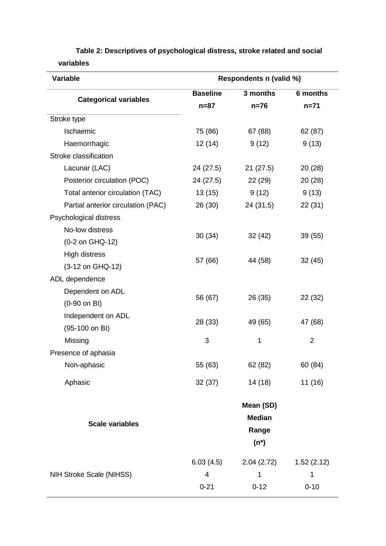| Respondents n (valid %) |                                         |                                         |  |  |
|-------------------------|-----------------------------------------|-----------------------------------------|--|--|
| <b>Baseline</b>         | 3 months                                | 6 months                                |  |  |
| $n=87$                  | $n=76$                                  | $n = 71$                                |  |  |
|                         |                                         |                                         |  |  |
| 75 (86)                 | 67 (88)                                 | 62 (87)                                 |  |  |
| 12(14)                  | 9(12)                                   | 9(13)                                   |  |  |
|                         |                                         |                                         |  |  |
| 24 (27.5)               | 21(27.5)                                | 20 (28)                                 |  |  |
| 24 (27.5)               | 22 (29)                                 | 20 (28)                                 |  |  |
| 13(15)                  | 9(12)                                   | 9(13)                                   |  |  |
| 26 (30)                 | 24 (31.5)                               | 22 (31)                                 |  |  |
|                         |                                         |                                         |  |  |
|                         |                                         |                                         |  |  |
|                         |                                         | 39 (55)                                 |  |  |
|                         |                                         |                                         |  |  |
|                         |                                         | 32 (45)                                 |  |  |
|                         |                                         |                                         |  |  |
|                         |                                         |                                         |  |  |
|                         |                                         | 22 (32)                                 |  |  |
|                         |                                         | 47 (68)                                 |  |  |
|                         |                                         |                                         |  |  |
| 3                       | 1                                       | $\overline{2}$                          |  |  |
|                         |                                         |                                         |  |  |
| 55 (63)                 | 62 (82)                                 | 60 (84)                                 |  |  |
| 32(37)                  | 14 (18)                                 | 11 (16)                                 |  |  |
|                         | Mean (SD)                               |                                         |  |  |
|                         | <b>Median</b>                           |                                         |  |  |
|                         | Range                                   |                                         |  |  |
|                         | $(n^*)$                                 |                                         |  |  |
| 6.03(4.5)               | 2.04(2.72)                              | 1.52(2.12)                              |  |  |
| 4                       | 1                                       | 1                                       |  |  |
| $0 - 21$                | $0 - 12$                                | $0 - 10$                                |  |  |
|                         | 30(34)<br>57 (66)<br>56 (67)<br>28 (33) | 32(42)<br>44 (58)<br>26 (35)<br>49 (65) |  |  |

**Table 2: Descriptives of psychological distress, stroke related and social variables**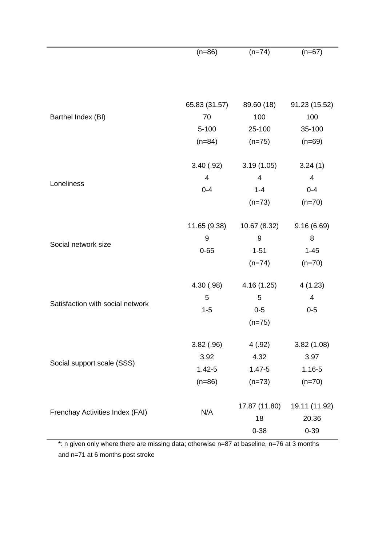|                                  | $(n=86)$<br>$(n=74)$ |               | $(n=67)$      |  |  |
|----------------------------------|----------------------|---------------|---------------|--|--|
|                                  |                      |               |               |  |  |
|                                  |                      |               |               |  |  |
|                                  |                      |               |               |  |  |
|                                  | 65.83 (31.57)        | 89.60 (18)    | 91.23 (15.52) |  |  |
| Barthel Index (BI)               | 70                   | 100           | 100           |  |  |
|                                  | $5 - 100$            | 25-100        | 35-100        |  |  |
|                                  | $(n=84)$             | $(n=75)$      | $(n=69)$      |  |  |
|                                  | 3.40(.92)            | 3.19(1.05)    | 3.24(1)       |  |  |
|                                  | $\overline{4}$       | 4             | 4             |  |  |
| Loneliness                       | $0 - 4$              | $1 - 4$       | $0 - 4$       |  |  |
|                                  |                      | $(n=73)$      | $(n=70)$      |  |  |
|                                  |                      |               |               |  |  |
|                                  | 11.65 (9.38)         | 10.67 (8.32)  | 9.16(6.69)    |  |  |
| Social network size              | 9                    | $9\,$         | 8             |  |  |
|                                  | $0 - 65$             | $1 - 51$      | $1 - 45$      |  |  |
|                                  |                      | $(n=74)$      | $(n=70)$      |  |  |
| Satisfaction with social network | 4.30 (.98)           | 4.16(1.25)    | 4(1.23)       |  |  |
|                                  | 5                    | 5             | 4             |  |  |
|                                  | $1 - 5$              | $0-5$         | $0 - 5$       |  |  |
|                                  |                      | $(n=75)$      |               |  |  |
| Social support scale (SSS)       | 3.82(.96)            | 4(.92)        | 3.82(1.08)    |  |  |
|                                  | 3.92                 | 4.32          | 3.97          |  |  |
|                                  | $1.42 - 5$           | $1.47 - 5$    | $1.16 - 5$    |  |  |
|                                  | $(n=86)$             | $(n=73)$      | $(n=70)$      |  |  |
|                                  |                      |               |               |  |  |
| Frenchay Activities Index (FAI)  | N/A                  | 17.87 (11.80) | 19.11 (11.92) |  |  |
|                                  |                      | 18            | 20.36         |  |  |
|                                  |                      | $0 - 38$      | $0 - 39$      |  |  |

\*: n given only where there are missing data; otherwise n=87 at baseline, n=76 at 3 months and n=71 at 6 months post stroke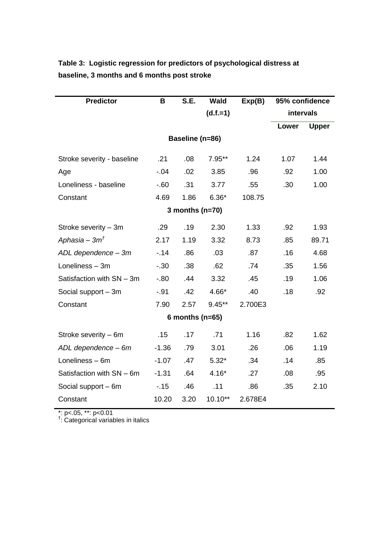| <b>Predictor</b>           | B       | S.E. | <b>Wald</b> | Exp(B)  | 95% confidence |              |  |  |
|----------------------------|---------|------|-------------|---------|----------------|--------------|--|--|
|                            |         |      | $(d.f.=1)$  |         | intervals      |              |  |  |
|                            |         |      |             |         | Lower          | <b>Upper</b> |  |  |
| Baseline (n=86)            |         |      |             |         |                |              |  |  |
| Stroke severity - baseline | .21     | .08  | $7.95***$   | 1.24    | 1.07           | 1.44         |  |  |
| Age                        | $-0.04$ | .02  | 3.85        | .96     | .92            | 1.00         |  |  |
| Loneliness - baseline      | $-0.60$ | .31  | 3.77        | .55     | .30            | 1.00         |  |  |
| Constant                   | 4.69    | 1.86 | $6.36*$     | 108.75  |                |              |  |  |
| 3 months ( $n=70$ )        |         |      |             |         |                |              |  |  |
| Stroke severity - 3m       | .29     | .19  | 2.30        | 1.33    | .92            | 1.93         |  |  |
| Aphasia – $3m†$            | 2.17    | 1.19 | 3.32        | 8.73    | .85            | 89.71        |  |  |
| ADL dependence - 3m        | $-14$   | .86  | .03         | .87     | .16            | 4.68         |  |  |
| Loneliness - 3m            | $-.30$  | .38  | .62         | .74     | .35            | 1.56         |  |  |
| Satisfaction with SN - 3m  | $-0.80$ | .44  | 3.32        | .45     | .19            | 1.06         |  |  |
| Social support - 3m        | $-.91$  | .42  | $4.66*$     | .40     | .18            | .92          |  |  |
| Constant                   | 7.90    | 2.57 | $9.45***$   | 2.700E3 |                |              |  |  |
| 6 months ( $n=65$ )        |         |      |             |         |                |              |  |  |
| Stroke severity - 6m       | .15     | .17  | .71         | 1.16    | .82            | 1.62         |  |  |
| ADL dependence - 6m        | $-1.36$ | .79  | 3.01        | .26     | .06            | 1.19         |  |  |
| Loneliness - 6m            | $-1.07$ | .47  | $5.32*$     | .34     | .14            | .85          |  |  |
| Satisfaction with SN - 6m  | $-1.31$ | .64  | $4.16*$     | .27     | .08            | .95          |  |  |
| Social support - 6m        | $-15$   | .46  | .11         | .86     | .35            | 2.10         |  |  |
| Constant                   | 10.20   | 3.20 | $10.10**$   | 2.678E4 |                |              |  |  |

## **Table 3: Logistic regression for predictors of psychological distress at baseline, 3 months and 6 months post stroke**

\*: p<.05, \*\*: p<0.01<br><sup>†</sup>: Categorical variables in italics